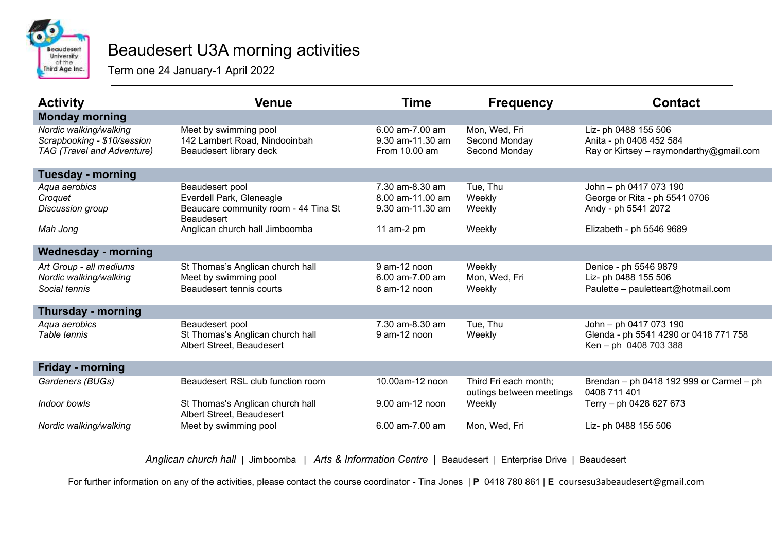

## Beaudesert U3A morning activities

Term one 24 January-1 April 2022

| <b>Activity</b>                                                                     | Venue                                                                                                                                      | <b>Time</b>                                                             | <b>Frequency</b>                                  | <b>Contact</b>                                                                                             |
|-------------------------------------------------------------------------------------|--------------------------------------------------------------------------------------------------------------------------------------------|-------------------------------------------------------------------------|---------------------------------------------------|------------------------------------------------------------------------------------------------------------|
| <b>Monday morning</b>                                                               |                                                                                                                                            |                                                                         |                                                   |                                                                                                            |
| Nordic walking/walking<br>Scrapbooking - \$10/session<br>TAG (Travel and Adventure) | Meet by swimming pool<br>142 Lambert Road, Nindooinbah<br>Beaudesert library deck                                                          | 6.00 am-7.00 am<br>9.30 am-11.30 am<br>From 10.00 am                    | Mon, Wed, Fri<br>Second Monday<br>Second Monday   | Liz- ph 0488 155 506<br>Anita - ph 0408 452 584<br>Ray or Kirtsey – raymondarthy@gmail.com                 |
| <b>Tuesday - morning</b>                                                            |                                                                                                                                            |                                                                         |                                                   |                                                                                                            |
| Aqua aerobics<br>Croquet<br>Discussion group<br>Mah Jong                            | Beaudesert pool<br>Everdell Park, Gleneagle<br>Beaucare community room - 44 Tina St<br><b>Beaudesert</b><br>Anglican church hall Jimboomba | 7.30 am-8.30 am<br>8.00 am-11.00 am<br>9.30 am-11.30 am<br>11 am-2 $pm$ | Tue, Thu<br>Weekly<br>Weekly<br>Weekly            | John - ph 0417 073 190<br>George or Rita - ph 5541 0706<br>Andy - ph 5541 2072<br>Elizabeth - ph 5546 9689 |
| <b>Wednesday - morning</b>                                                          |                                                                                                                                            |                                                                         |                                                   |                                                                                                            |
| Art Group - all mediums<br>Nordic walking/walking<br>Social tennis                  | St Thomas's Anglican church hall<br>Meet by swimming pool<br>Beaudesert tennis courts                                                      | 9 am-12 noon<br>6.00 am-7.00 am<br>8 am-12 noon                         | Weekly<br>Mon, Wed, Fri<br>Weekly                 | Denice - ph 5546 9879<br>Liz- ph 0488 155 506<br>Paulette - pauletteart@hotmail.com                        |
| <b>Thursday - morning</b>                                                           |                                                                                                                                            |                                                                         |                                                   |                                                                                                            |
| Aqua aerobics<br>Table tennis                                                       | Beaudesert pool<br>St Thomas's Anglican church hall<br>Albert Street, Beaudesert                                                           | 7.30 am-8.30 am<br>9 am-12 noon                                         | Tue, Thu<br>Weekly                                | John - ph 0417 073 190<br>Glenda - ph 5541 4290 or 0418 771 758<br>Ken-ph 0408 703 388                     |
| <b>Friday - morning</b>                                                             |                                                                                                                                            |                                                                         |                                                   |                                                                                                            |
| Gardeners (BUGs)                                                                    | Beaudesert RSL club function room                                                                                                          | 10.00am-12 noon                                                         | Third Fri each month;<br>outings between meetings | Brendan - ph 0418 192 999 or Carmel - ph<br>0408 711 401                                                   |
| Indoor bowls                                                                        | St Thomas's Anglican church hall<br>Albert Street, Beaudesert                                                                              | 9.00 am-12 noon                                                         | Weekly                                            | Terry - ph 0428 627 673                                                                                    |
| Nordic walking/walking                                                              | Meet by swimming pool                                                                                                                      | 6.00 am-7.00 am                                                         | Mon, Wed, Fri                                     | Liz- ph 0488 155 506                                                                                       |

*Anglican church hall* | Jimboomba | *Arts & Information Centre* | Beaudesert | Enterprise Drive | Beaudesert

For further information on any of the activities, please contact the course coordinator - Tina Jones | **P** 0418 780 861 | **E** [coursesu3abeaudesert@gmail.com](mailto:coursesu3abeaudesert@gmail.com)